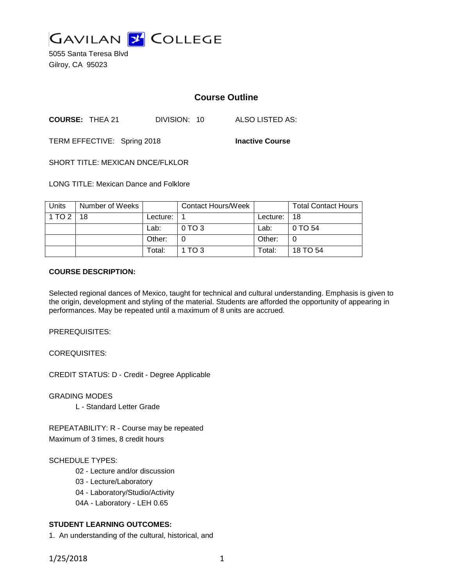

5055 Santa Teresa Blvd Gilroy, CA 95023

# **Course Outline**

**COURSE:** THEA 21 DIVISION: 10 ALSO LISTED AS:

TERM EFFECTIVE: Spring 2018 **Inactive Course**

SHORT TITLE: MEXICAN DNCE/FLKLOR

LONG TITLE: Mexican Dance and Folklore

| <b>Units</b>    | Number of Weeks |            | <b>Contact Hours/Week</b> |            | <b>Total Contact Hours</b> |
|-----------------|-----------------|------------|---------------------------|------------|----------------------------|
| $1$ TO $2$   18 |                 | Lecture: I |                           | Lecture: I | 18                         |
|                 |                 | Lab:       | $0$ TO 3                  | Lab:       | 0 TO 54                    |
|                 |                 | Other:     | 0                         | Other:     |                            |
|                 |                 | Total:     | 1 TO 3                    | Total:     | 18 TO 54                   |

#### **COURSE DESCRIPTION:**

Selected regional dances of Mexico, taught for technical and cultural understanding. Emphasis is given to the origin, development and styling of the material. Students are afforded the opportunity of appearing in performances. May be repeated until a maximum of 8 units are accrued.

PREREQUISITES:

COREQUISITES:

CREDIT STATUS: D - Credit - Degree Applicable

GRADING MODES

L - Standard Letter Grade

REPEATABILITY: R - Course may be repeated Maximum of 3 times, 8 credit hours

#### SCHEDULE TYPES:

- 02 Lecture and/or discussion
- 03 Lecture/Laboratory
- 04 Laboratory/Studio/Activity
- 04A Laboratory LEH 0.65

## **STUDENT LEARNING OUTCOMES:**

1. An understanding of the cultural, historical, and

1/25/2018 1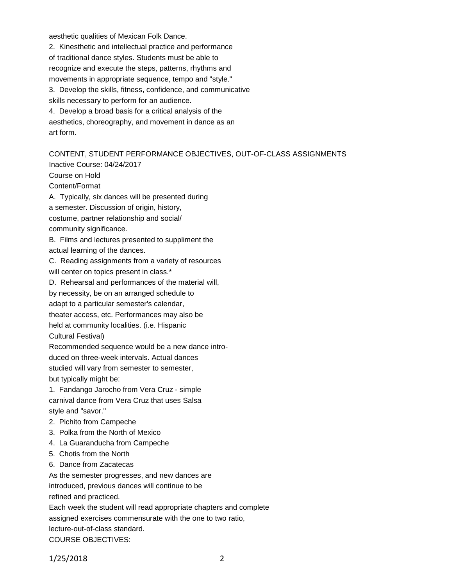aesthetic qualities of Mexican Folk Dance.

2. Kinesthetic and intellectual practice and performance of traditional dance styles. Students must be able to recognize and execute the steps, patterns, rhythms and movements in appropriate sequence, tempo and "style." 3. Develop the skills, fitness, confidence, and communicative skills necessary to perform for an audience. 4. Develop a broad basis for a critical analysis of the aesthetics, choreography, and movement in dance as an art form.

## CONTENT, STUDENT PERFORMANCE OBJECTIVES, OUT-OF-CLASS ASSIGNMENTS

Inactive Course: 04/24/2017 Course on Hold Content/Format A. Typically, six dances will be presented during a semester. Discussion of origin, history, costume, partner relationship and social/ community significance. B. Films and lectures presented to suppliment the actual learning of the dances. C. Reading assignments from a variety of resources will center on topics present in class.\* D. Rehearsal and performances of the material will, by necessity, be on an arranged schedule to adapt to a particular semester's calendar, theater access, etc. Performances may also be held at community localities. (i.e. Hispanic Cultural Festival) Recommended sequence would be a new dance introduced on three-week intervals. Actual dances studied will vary from semester to semester, but typically might be: 1. Fandango Jarocho from Vera Cruz - simple carnival dance from Vera Cruz that uses Salsa style and "savor." 2. Pichito from Campeche 3. Polka from the North of Mexico 4. La Guaranducha from Campeche 5. Chotis from the North 6. Dance from Zacatecas As the semester progresses, and new dances are

introduced, previous dances will continue to be refined and practiced.

Each week the student will read appropriate chapters and complete assigned exercises commensurate with the one to two ratio, lecture-out-of-class standard. COURSE OBJECTIVES:

1/25/2018 2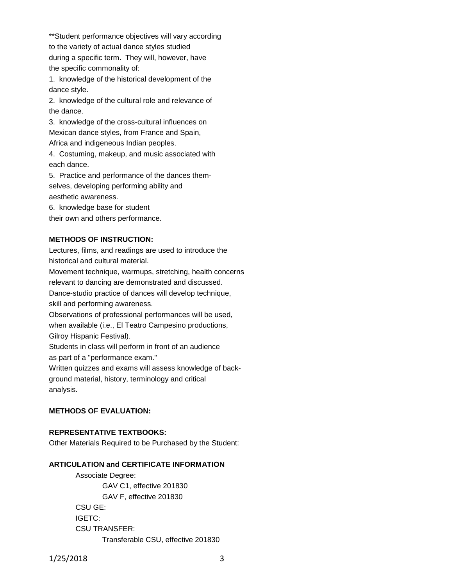\*\*Student performance objectives will vary according to the variety of actual dance styles studied during a specific term. They will, however, have the specific commonality of:

1. knowledge of the historical development of the dance style.

2. knowledge of the cultural role and relevance of the dance.

3. knowledge of the cross-cultural influences on Mexican dance styles, from France and Spain, Africa and indigeneous Indian peoples.

4. Costuming, makeup, and music associated with each dance.

5. Practice and performance of the dances themselves, developing performing ability and aesthetic awareness.

6. knowledge base for student

their own and others performance.

#### **METHODS OF INSTRUCTION:**

Lectures, films, and readings are used to introduce the historical and cultural material.

Movement technique, warmups, stretching, health concerns relevant to dancing are demonstrated and discussed. Dance-studio practice of dances will develop technique, skill and performing awareness.

Observations of professional performances will be used, when available (i.e., El Teatro Campesino productions, Gilroy Hispanic Festival).

Students in class will perform in front of an audience as part of a "performance exam."

Written quizzes and exams will assess knowledge of background material, history, terminology and critical analysis.

### **METHODS OF EVALUATION:**

## **REPRESENTATIVE TEXTBOOKS:**

Other Materials Required to be Purchased by the Student:

#### **ARTICULATION and CERTIFICATE INFORMATION**

Associate Degree: GAV C1, effective 201830 GAV F, effective 201830 CSU GE: IGETC: CSU TRANSFER:

Transferable CSU, effective 201830